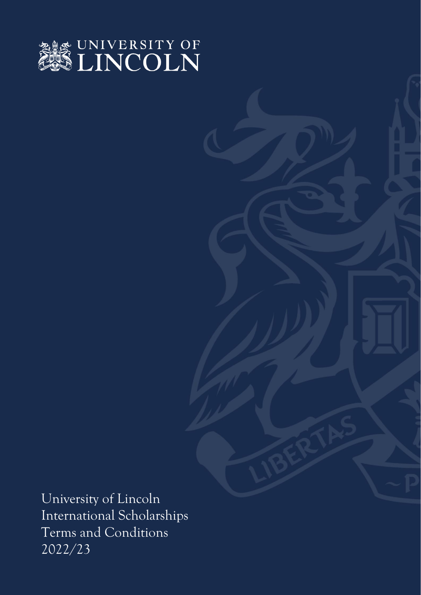

University of Lincoln International Scholarships Terms and Conditions 2022/23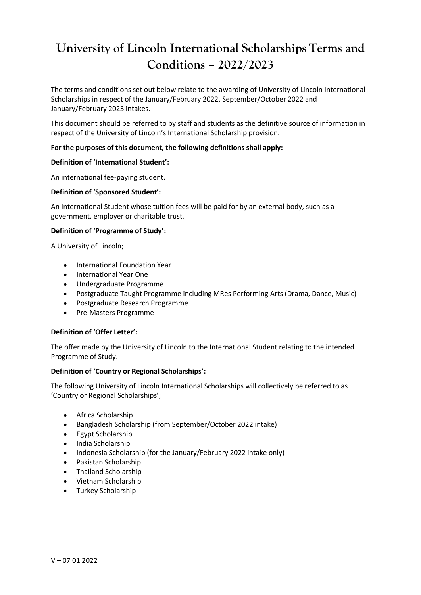# **University of Lincoln International Scholarships Terms and Conditions – 2022/2023**

The terms and conditions set out below relate to the awarding of University of Lincoln International Scholarships in respect of the January/February 2022, September/October 2022 and January/February 2023 intakes**.**

This document should be referred to by staff and students as the definitive source of information in respect of the University of Lincoln's International Scholarship provision.

# **For the purposes of this document, the following definitions shall apply:**

## **Definition of 'International Student':**

An international fee-paying student.

# **Definition of 'Sponsored Student':**

An International Student whose tuition fees will be paid for by an external body, such as a government, employer or charitable trust.

## **Definition of 'Programme of Study':**

A University of Lincoln;

- International Foundation Year
- International Year One
- Undergraduate Programme
- Postgraduate Taught Programme including MRes Performing Arts (Drama, Dance, Music)
- Postgraduate Research Programme
- Pre-Masters Programme

## **Definition of 'Offer Letter':**

The offer made by the University of Lincoln to the International Student relating to the intended Programme of Study.

## **Definition of 'Country or Regional Scholarships':**

The following University of Lincoln International Scholarships will collectively be referred to as 'Country or Regional Scholarships';

- Africa Scholarship
- Bangladesh Scholarship (from September/October 2022 intake)
- Egypt Scholarship
- India Scholarship
- Indonesia Scholarship (for the January/February 2022 intake only)
- Pakistan Scholarship
- Thailand Scholarship
- Vietnam Scholarship
- Turkey Scholarship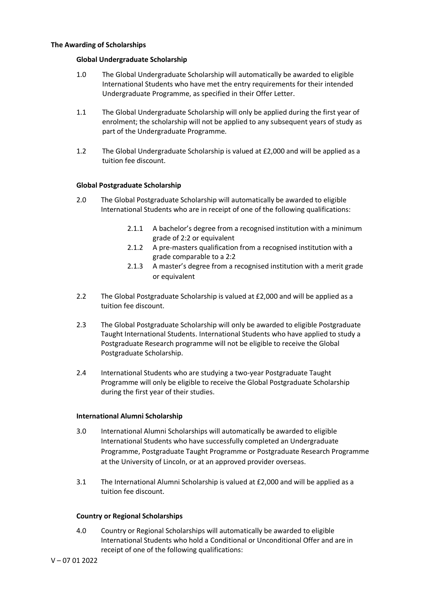## **The Awarding of Scholarships**

## **Global Undergraduate Scholarship**

- 1.0 The Global Undergraduate Scholarship will automatically be awarded to eligible International Students who have met the entry requirements for their intended Undergraduate Programme, as specified in their Offer Letter.
- 1.1 The Global Undergraduate Scholarship will only be applied during the first year of enrolment; the scholarship will not be applied to any subsequent years of study as part of the Undergraduate Programme.
- 1.2 The Global Undergraduate Scholarship is valued at £2,000 and will be applied as a tuition fee discount.

## **Global Postgraduate Scholarship**

- 2.0 The Global Postgraduate Scholarship will automatically be awarded to eligible International Students who are in receipt of one of the following qualifications:
	- 2.1.1 A bachelor's degree from a recognised institution with a minimum grade of 2:2 or equivalent
	- 2.1.2 A pre-masters qualification from a recognised institution with a grade comparable to a 2:2
	- 2.1.3 A master's degree from a recognised institution with a merit grade or equivalent
- 2.2 The Global Postgraduate Scholarship is valued at £2,000 and will be applied as a tuition fee discount.
- 2.3 The Global Postgraduate Scholarship will only be awarded to eligible Postgraduate Taught International Students. International Students who have applied to study a Postgraduate Research programme will not be eligible to receive the Global Postgraduate Scholarship.
- 2.4 International Students who are studying a two-year Postgraduate Taught Programme will only be eligible to receive the Global Postgraduate Scholarship during the first year of their studies.

#### **International Alumni Scholarship**

- 3.0 International Alumni Scholarships will automatically be awarded to eligible International Students who have successfully completed an Undergraduate Programme, Postgraduate Taught Programme or Postgraduate Research Programme at the University of Lincoln, or at an approved provider overseas.
- 3.1 The International Alumni Scholarship is valued at £2,000 and will be applied as a tuition fee discount.

#### **Country or Regional Scholarships**

4.0 Country or Regional Scholarships will automatically be awarded to eligible International Students who hold a Conditional or Unconditional Offer and are in receipt of one of the following qualifications: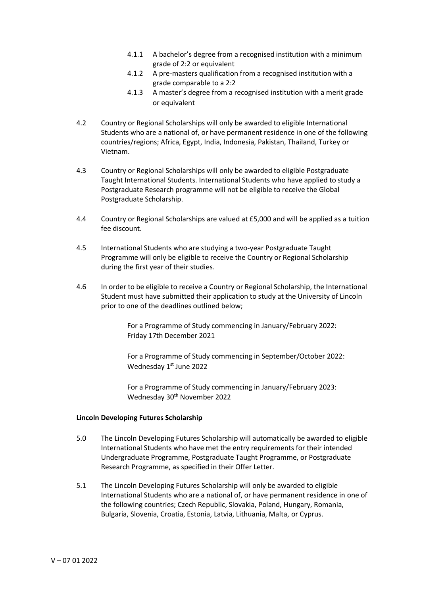- 4.1.1 A bachelor's degree from a recognised institution with a minimum grade of 2:2 or equivalent
- 4.1.2 A pre-masters qualification from a recognised institution with a grade comparable to a 2:2
- 4.1.3 A master's degree from a recognised institution with a merit grade or equivalent
- 4.2 Country or Regional Scholarships will only be awarded to eligible International Students who are a national of, or have permanent residence in one of the following countries/regions; Africa, Egypt, India, Indonesia, Pakistan, Thailand, Turkey or Vietnam.
- 4.3 Country or Regional Scholarships will only be awarded to eligible Postgraduate Taught International Students. International Students who have applied to study a Postgraduate Research programme will not be eligible to receive the Global Postgraduate Scholarship.
- 4.4 Country or Regional Scholarships are valued at £5,000 and will be applied as a tuition fee discount.
- 4.5 International Students who are studying a two-year Postgraduate Taught Programme will only be eligible to receive the Country or Regional Scholarship during the first year of their studies.
- 4.6 In order to be eligible to receive a Country or Regional Scholarship, the International Student must have submitted their application to study at the University of Lincoln prior to one of the deadlines outlined below;

For a Programme of Study commencing in January/February 2022: Friday 17th December 2021

For a Programme of Study commencing in September/October 2022: Wednesday 1st June 2022

For a Programme of Study commencing in January/February 2023: Wednesday 30<sup>th</sup> November 2022

## **Lincoln Developing Futures Scholarship**

- 5.0 The Lincoln Developing Futures Scholarship will automatically be awarded to eligible International Students who have met the entry requirements for their intended Undergraduate Programme, Postgraduate Taught Programme, or Postgraduate Research Programme, as specified in their Offer Letter.
- 5.1 The Lincoln Developing Futures Scholarship will only be awarded to eligible International Students who are a national of, or have permanent residence in one of the following countries; Czech Republic, Slovakia, Poland, Hungary, Romania, Bulgaria, Slovenia, Croatia, Estonia, Latvia, Lithuania, Malta, or Cyprus.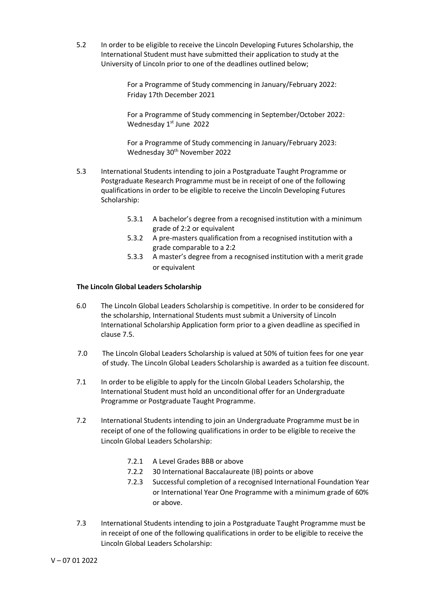5.2 In order to be eligible to receive the Lincoln Developing Futures Scholarship, the International Student must have submitted their application to study at the University of Lincoln prior to one of the deadlines outlined below;

> For a Programme of Study commencing in January/February 2022: Friday 17th December 2021

For a Programme of Study commencing in September/October 2022: Wednesday 1<sup>st</sup> June 2022

For a Programme of Study commencing in January/February 2023: Wednesday 30<sup>th</sup> November 2022

- 5.3 International Students intending to join a Postgraduate Taught Programme or Postgraduate Research Programme must be in receipt of one of the following qualifications in order to be eligible to receive the Lincoln Developing Futures Scholarship:
	- 5.3.1 A bachelor's degree from a recognised institution with a minimum grade of 2:2 or equivalent
	- 5.3.2 A pre-masters qualification from a recognised institution with a grade comparable to a 2:2
	- 5.3.3 A master's degree from a recognised institution with a merit grade or equivalent

# **The Lincoln Global Leaders Scholarship**

- 6.0 The Lincoln Global Leaders Scholarship is competitive. In order to be considered for the scholarship, International Students must submit a University of Lincoln International Scholarship Application form prior to a given deadline as specified in clause 7.5.
- 7.0 The Lincoln Global Leaders Scholarship is valued at 50% of tuition fees for one year of study. The Lincoln Global Leaders Scholarship is awarded as a tuition fee discount.
- 7.1 In order to be eligible to apply for the Lincoln Global Leaders Scholarship, the International Student must hold an unconditional offer for an Undergraduate Programme or Postgraduate Taught Programme.
- 7.2 International Students intending to join an Undergraduate Programme must be in receipt of one of the following qualifications in order to be eligible to receive the Lincoln Global Leaders Scholarship:
	- 7.2.1 A Level Grades BBB or above
	- 7.2.2 30 International Baccalaureate (IB) points or above
	- 7.2.3 Successful completion of a recognised International Foundation Year or International Year One Programme with a minimum grade of 60% or above.
- 7.3 International Students intending to join a Postgraduate Taught Programme must be in receipt of one of the following qualifications in order to be eligible to receive the Lincoln Global Leaders Scholarship: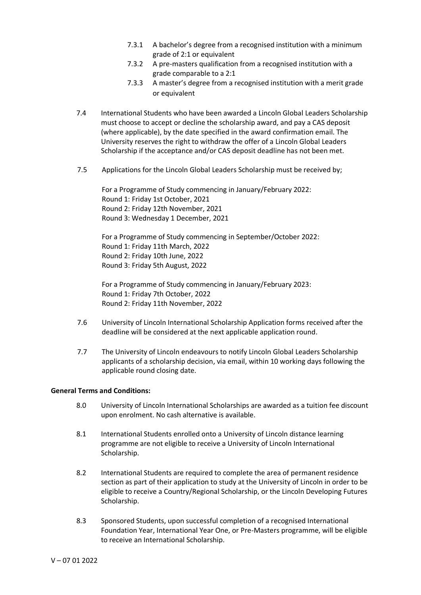- 7.3.1 A bachelor's degree from a recognised institution with a minimum grade of 2:1 or equivalent
- 7.3.2 A pre-masters qualification from a recognised institution with a grade comparable to a 2:1
- 7.3.3 A master's degree from a recognised institution with a merit grade or equivalent
- 7.4 International Students who have been awarded a Lincoln Global Leaders Scholarship must choose to accept or decline the scholarship award, and pay a CAS deposit (where applicable), by the date specified in the award confirmation email. The University reserves the right to withdraw the offer of a Lincoln Global Leaders Scholarship if the acceptance and/or CAS deposit deadline has not been met.
- 7.5 Applications for the Lincoln Global Leaders Scholarship must be received by;

For a Programme of Study commencing in January/February 2022: Round 1: Friday 1st October, 2021 Round 2: Friday 12th November, 2021 Round 3: Wednesday 1 December, 2021

For a Programme of Study commencing in September/October 2022: Round 1: Friday 11th March, 2022 Round 2: Friday 10th June, 2022 Round 3: Friday 5th August, 2022

For a Programme of Study commencing in January/February 2023: Round 1: Friday 7th October, 2022 Round 2: Friday 11th November, 2022

- 7.6 University of Lincoln International Scholarship Application forms received after the deadline will be considered at the next applicable application round.
- 7.7 The University of Lincoln endeavours to notify Lincoln Global Leaders Scholarship applicants of a scholarship decision, via email, within 10 working days following the applicable round closing date.

## **General Terms and Conditions:**

- 8.0 University of Lincoln International Scholarships are awarded as a tuition fee discount upon enrolment. No cash alternative is available.
- 8.1 International Students enrolled onto a University of Lincoln distance learning programme are not eligible to receive a University of Lincoln International Scholarship.
- 8.2 International Students are required to complete the area of permanent residence section as part of their application to study at the University of Lincoln in order to be eligible to receive a Country/Regional Scholarship, or the Lincoln Developing Futures Scholarship.
- 8.3 Sponsored Students, upon successful completion of a recognised International Foundation Year, International Year One, or Pre-Masters programme, will be eligible to receive an International Scholarship.